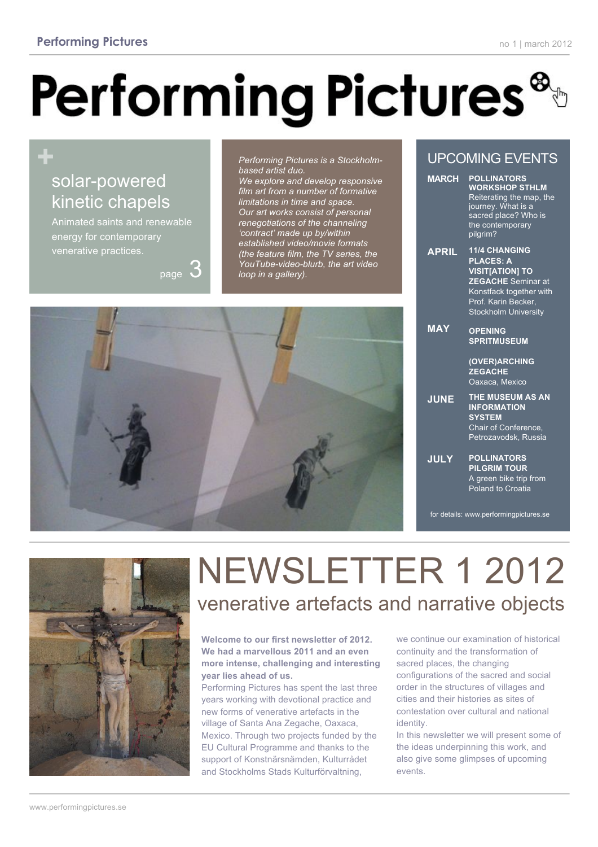# **Performing Pictures**

### **+** solar-powered kinetic chapels

Animated saints and renewable energy for contemporary venerative practices.

page

*Performing Pictures is a Stockholmbased artist duo.* 

*We explore and develop responsive film art from a number of formative limitations in time and space. Our art works consist of personal renegotiations of the channeling 'contract' made up by/within established video/movie formats (the feature film, the TV series, the YouTube-video-blurb, the art video loop in a gallery).*



#### UPCOMING EVENTS

| <b>MARCH</b> | <b>POLLINATORS</b><br><b>WORKSHOP STHLM</b><br>Reiterating the map, the<br>journey. What is a<br>sacred place? Who is<br>the contemporary<br>pilgrim?                     |
|--------------|---------------------------------------------------------------------------------------------------------------------------------------------------------------------------|
| <b>APRIL</b> | <b>11/4 CHANGING</b><br><b>PLACES: A</b><br><b>VISIT[ATION] TO</b><br><b>ZEGACHE</b> Seminar at<br>Konstfack together with<br>Prof. Karin Becker,<br>Stockholm University |
| <b>MAY</b>   | <b>OPENING</b><br><b>SPRITMUSEUM</b><br>(OVER)ARCHING<br><b>ZEGACHE</b><br>Oaxaca, Mexico                                                                                 |
| <b>JUNE</b>  | <b>THE MUSEUM AS AN</b><br><b>INFORMATION</b><br><b>SYSTEM</b><br>Chair of Conference,<br>Petrozavodsk, Russia                                                            |
| <b>JULY</b>  | <b>POLLINATORS</b><br><b>PILGRIM TOUR</b><br>A green bike trip from<br>Poland to Croatia                                                                                  |

for details: www.performingpictures.se



## NEWSLETTER 1 2012 venerative artefacts and narrative objects

**Welcome to our first newsletter of 2012. We had a marvellous 2011 and an even more intense, challenging and interesting year lies ahead of us.** 

Performing Pictures has spent the last three years working with devotional practice and new forms of venerative artefacts in the village of Santa Ana Zegache, Oaxaca, Mexico. Through two projects funded by the EU Cultural Programme and thanks to the support of Konstnärsnämden, Kulturrådet and Stockholms Stads Kulturförvaltning,

we continue our examination of historical continuity and the transformation of sacred places, the changing configurations of the sacred and social order in the structures of villages and cities and their histories as sites of contestation over cultural and national identity.

In this newsletter we will present some of the ideas underpinning this work, and also give some glimpses of upcoming events.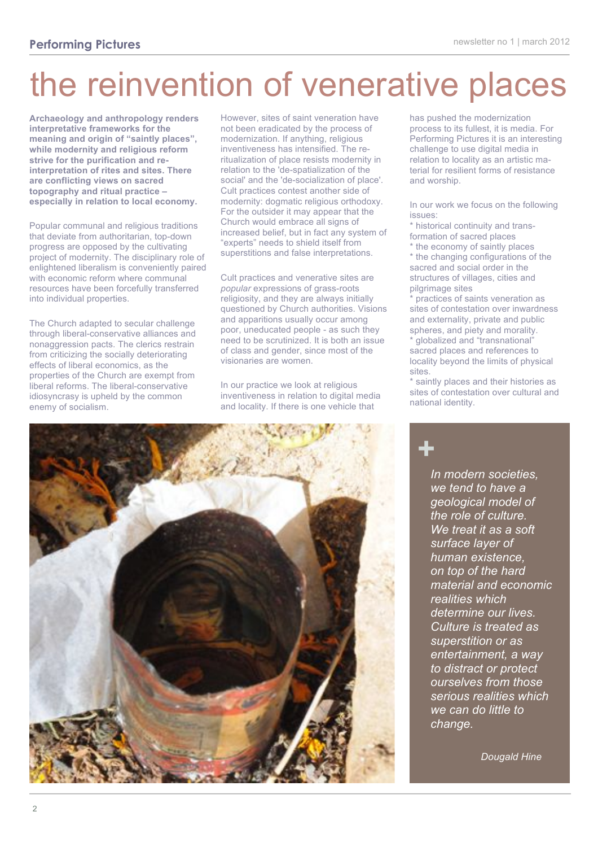# the reinvention of venerative places

**Archaeology and anthropology renders interpretative frameworks for the meaning and origin of "saintly places", while modernity and religious reform strive for the purification and reinterpretation of rites and sites. There are conflicting views on sacred topography and ritual practice – especially in relation to local economy.**

Popular communal and religious traditions that deviate from authoritarian, top-down progress are opposed by the cultivating project of modernity. The disciplinary role of enlightened liberalism is conveniently paired with economic reform where communal resources have been forcefully transferred into individual properties.

The Church adapted to secular challenge through liberal-conservative alliances and nonaggression pacts. The clerics restrain from criticizing the socially deteriorating effects of liberal economics, as the properties of the Church are exempt from liberal reforms. The liberal-conservative idiosyncrasy is upheld by the common enemy of socialism.

However, sites of saint veneration have not been eradicated by the process of modernization. If anything, religious inventiveness has intensified. The reritualization of place resists modernity in relation to the 'de-spatialization of the social' and the 'de-socialization of place'. Cult practices contest another side of modernity: dogmatic religious orthodoxy. For the outsider it may appear that the Church would embrace all signs of increased belief, but in fact any system of "experts" needs to shield itself from superstitions and false interpretations.

Cult practices and venerative sites are *popular* expressions of grass-roots religiosity, and they are always initially questioned by Church authorities. Visions and apparitions usually occur among poor, uneducated people - as such they need to be scrutinized. It is both an issue of class and gender, since most of the visionaries are women.

In our practice we look at religious inventiveness in relation to digital media and locality. If there is one vehicle that

has pushed the modernization process to its fullest, it is media. For Performing Pictures it is an interesting challenge to use digital media in relation to locality as an artistic material for resilient forms of resistance and worship.

In our work we focus on the following issues:

\* historical continuity and transformation of sacred places

\* the economy of saintly places \* the changing configurations of the sacred and social order in the structures of villages, cities and pilgrimage sites

\* practices of saints veneration as sites of contestation over inwardness and externality, private and public spheres, and piety and morality.

globalized and "transnational" sacred places and references to locality beyond the limits of physical sites.

\* saintly places and their histories as sites of contestation over cultural and national identity.



*In modern societies, we tend to have a geological model of the role of culture. We treat it as a soft surface layer of human existence, on top of the hard material and economic realities which determine our lives. Culture is treated as superstition or as entertainment, a way to distract or protect ourselves from those serious realities which we can do little to change.* **+**

 *Dougald Hine*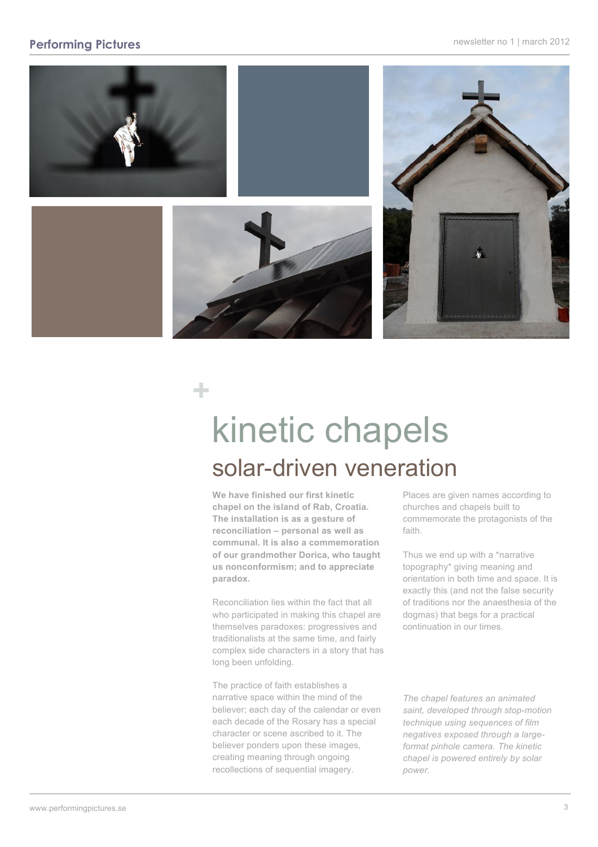#### **Performing Pictures newsletter no 1 | march 2012**



# kinetic chapels solar-driven veneration

**We have finished our first kinetic chapel on the island of Rab, Croatia. The installation is as a gesture of reconciliation – personal as well as communal. It is also a commemoration of our grandmother Dorica, who taught us nonconformism; and to appreciate paradox.** 

**+**

Reconciliation lies within the fact that all who participated in making this chapel are themselves paradoxes: progressives and traditionalists at the same time, and fairly complex side characters in a story that has long been unfolding.

The practice of faith establishes a narrative space within the mind of the believer; each day of the calendar or even each decade of the Rosary has a special character or scene ascribed to it. The believer ponders upon these images, creating meaning through ongoing recollections of sequential imagery.

Places are given names according to churches and chapels built to commemorate the protagonists of the faith.

Thus we end up with a \*narrative topography\* giving meaning and orientation in both time and space. It is exactly this (and not the false security of traditions nor the anaesthesia of the dogmas) that begs for a practical continuation in our times.

*The chapel features an animated saint, developed through stop-motion technique using sequences of film negatives exposed through a largeformat pinhole camera. The kinetic chapel is powered entirely by solar power.*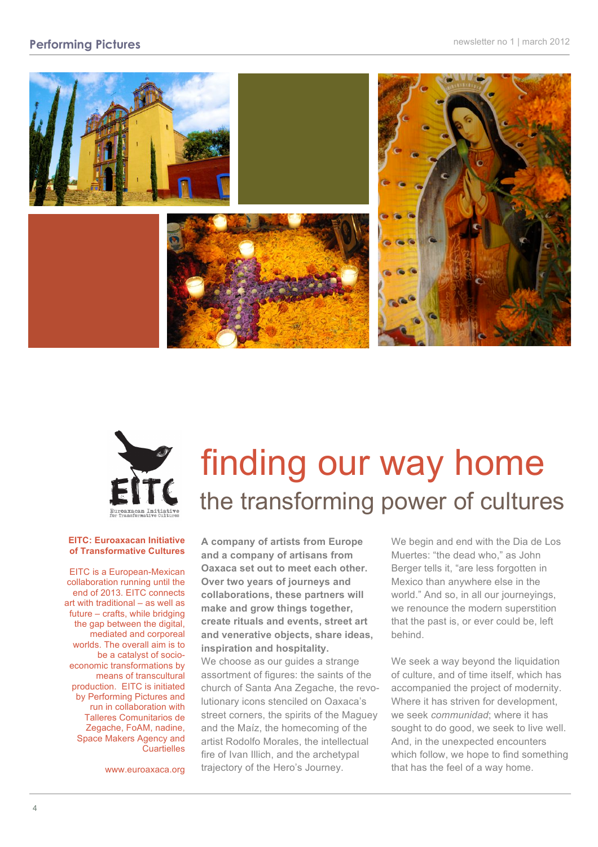#### **Performing Pictures newsletter no 1 | march 2012**





#### **EITC: Euroaxacan Initiative of Transformative Cultures**

EITC is a European-Mexican collaboration running until the end of 2013. EITC connects art with traditional – as well as future – crafts, while bridging the gap between the digital. mediated and corporeal worlds. The overall aim is to be a catalyst of socioeconomic transformations by means of transcultural production. EITC is initiated by Performing Pictures and run in collaboration with Talleres Comunitarios de Zegache, FoAM, nadine, Space Makers Agency and **Cuartielles** 

www.euroaxaca.org

# finding our way home the transforming power of cultures

**A company of artists from Europe and a company of artisans from Oaxaca set out to meet each other. Over two years of journeys and collaborations, these partners will make and grow things together, create rituals and events, street art and venerative objects, share ideas, inspiration and hospitality.** We choose as our guides a strange assortment of figures: the saints of the church of Santa Ana Zegache, the revolutionary icons stenciled on Oaxaca's street corners, the spirits of the Maguey and the Maíz, the homecoming of the artist Rodolfo Morales, the intellectual fire of Ivan Illich, and the archetypal trajectory of the Hero's Journey.

We begin and end with the Dia de Los Muertes: "the dead who," as John Berger tells it, "are less forgotten in Mexico than anywhere else in the world." And so, in all our journeyings, we renounce the modern superstition that the past is, or ever could be, left behind.

We seek a way beyond the liquidation of culture, and of time itself, which has accompanied the project of modernity. Where it has striven for development, we seek *communidad*; where it has sought to do good, we seek to live well. And, in the unexpected encounters which follow, we hope to find something that has the feel of a way home.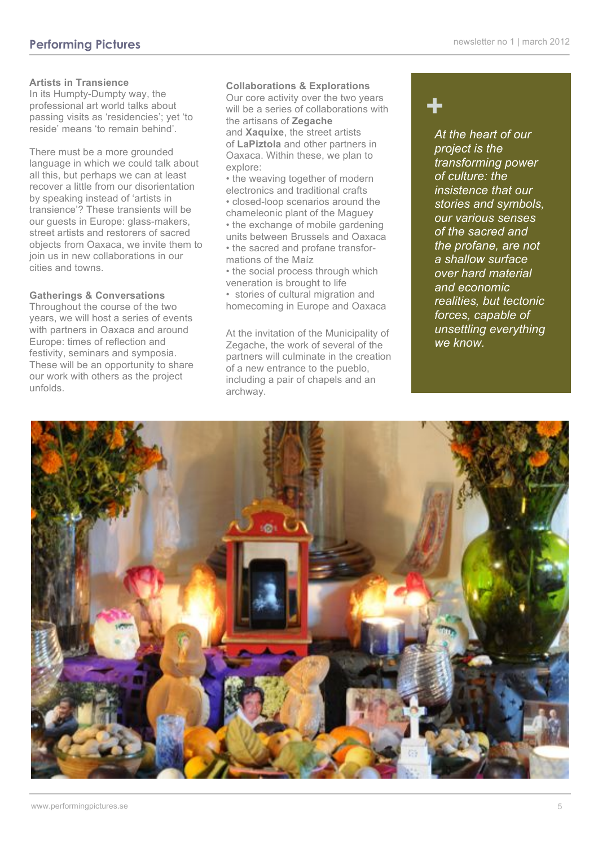#### **Artists in Transience**

In its Humpty-Dumpty way, the professional art world talks about passing visits as 'residencies'; yet 'to reside' means 'to remain behind'.

There must be a more grounded language in which we could talk about all this, but perhaps we can at least recover a little from our disorientation by speaking instead of 'artists in transience'? These transients will be our guests in Europe: glass-makers, street artists and restorers of sacred objects from Oaxaca, we invite them to join us in new collaborations in our cities and towns.

#### **Gatherings & Conversations**

Throughout the course of the two years, we will host a series of events with partners in Oaxaca and around Europe: times of reflection and festivity, seminars and symposia. These will be an opportunity to share our work with others as the project unfolds.

#### **Collaborations & Explorations**

Our core activity over the two years will be a series of collaborations with the artisans of **Zegache** and **Xaquixe**, the street artists of **LaPiztola** and other partners in Oaxaca. Within these, we plan to explore:

- the weaving together of modern electronics and traditional crafts
- closed-loop scenarios around the chameleonic plant of the Maguey
- the exchange of mobile gardening units between Brussels and Oaxaca • the sacred and profane transfor-
- mations of the Maíz • the social process through which
- veneration is brought to life
- stories of cultural migration and homecoming in Europe and Oaxaca

At the invitation of the Municipality of Zegache, the work of several of the partners will culminate in the creation of a new entrance to the pueblo, including a pair of chapels and an archway.

### **+**

*At the heart of our project is the transforming power of culture: the insistence that our stories and symbols, our various senses of the sacred and the profane, are not a shallow surface over hard material and economic realities, but tectonic forces, capable of unsettling everything we know.*

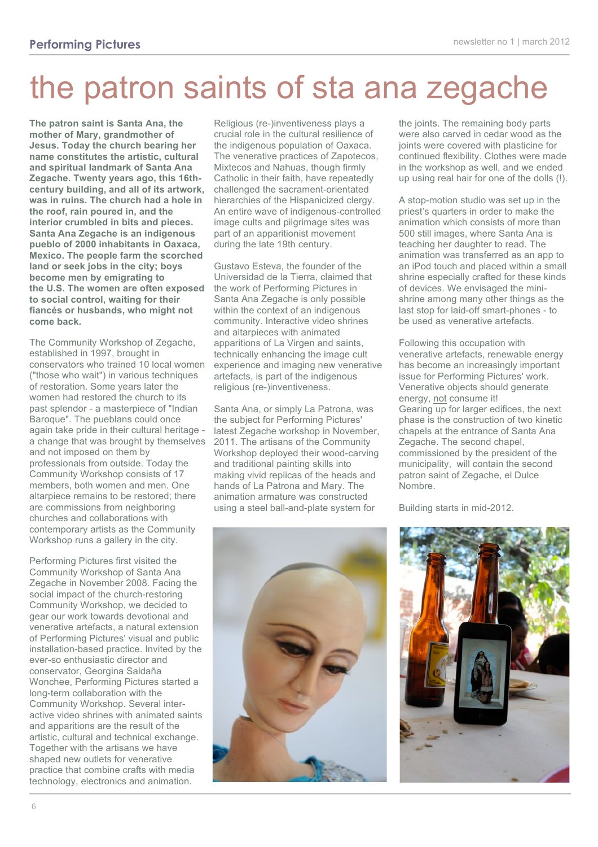# the patron saints of sta ana zegache

**The patron saint is Santa Ana, the mother of Mary, grandmother of Jesus. Today the church bearing her name constitutes the artistic, cultural and spiritual landmark of Santa Ana Zegache. Twenty years ago, this 16thcentury building, and all of its artwork, was in ruins. The church had a hole in the roof, rain poured in, and the interior crumbled in bits and pieces. Santa Ana Zegache is an indigenous pueblo of 2000 inhabitants in Oaxaca, Mexico. The people farm the scorched land or seek jobs in the city; boys become men by emigrating to the U.S. The women are often exposed to social control, waiting for their fiancés or husbands, who might not come back.**

The Community Workshop of Zegache, established in 1997, brought in conservators who trained 10 local women ("those who wait") in various techniques of restoration. Some years later the women had restored the church to its past splendor - a masterpiece of "Indian Baroque". The pueblans could once again take pride in their cultural heritage a change that was brought by themselves and not imposed on them by professionals from outside. Today the Community Workshop consists of 17 members, both women and men. One altarpiece remains to be restored; there are commissions from neighboring churches and collaborations with contemporary artists as the Community Workshop runs a gallery in the city.

Performing Pictures first visited the Community Workshop of Santa Ana Zegache in November 2008. Facing the social impact of the church-restoring Community Workshop, we decided to gear our work towards devotional and venerative artefacts, a natural extension of Performing Pictures' visual and public installation-based practice. Invited by the ever-so enthusiastic director and conservator, Georgina Saldaña Wonchee, Performing Pictures started a long-term collaboration with the Community Workshop. Several interactive video shrines with animated saints and apparitions are the result of the artistic, cultural and technical exchange. Together with the artisans we have shaped new outlets for venerative practice that combine crafts with media technology, electronics and animation.

Religious (re-)inventiveness plays a crucial role in the cultural resilience of the indigenous population of Oaxaca. The venerative practices of Zapotecos, Mixtecos and Nahuas, though firmly Catholic in their faith, have repeatedly challenged the sacrament-orientated hierarchies of the Hispanicized clergy. An entire wave of indigenous-controlled image cults and pilgrimage sites was part of an apparitionist movement during the late 19th century.

Gustavo Esteva, the founder of the Universidad de la Tierra, claimed that the work of Performing Pictures in Santa Ana Zegache is only possible within the context of an indigenous community. Interactive video shrines and altarpieces with animated apparitions of La Virgen and saints, technically enhancing the image cult experience and imaging new venerative artefacts, is part of the indigenous religious (re-)inventiveness.

Santa Ana, or simply La Patrona, was the subject for Performing Pictures' latest Zegache workshop in November, 2011. The artisans of the Community Workshop deployed their wood-carving and traditional painting skills into making vivid replicas of the heads and hands of La Patrona and Mary. The animation armature was constructed using a steel ball-and-plate system for



the joints. The remaining body parts were also carved in cedar wood as the joints were covered with plasticine for continued flexibility. Clothes were made in the workshop as well, and we ended up using real hair for one of the dolls (!).

A stop-motion studio was set up in the priest's quarters in order to make the animation which consists of more than 500 still images, where Santa Ana is teaching her daughter to read. The animation was transferred as an app to an iPod touch and placed within a small shrine especially crafted for these kinds of devices. We envisaged the minishrine among many other things as the last stop for laid-off smart-phones - to be used as venerative artefacts.

Following this occupation with venerative artefacts, renewable energy has become an increasingly important issue for Performing Pictures' work. Venerative objects should generate energy, not consume it! Gearing up for larger edifices, the next phase is the construction of two kinetic chapels at the entrance of Santa Ana Zegache. The second chapel, commissioned by the president of the municipality, will contain the second patron saint of Zegache, el Dulce Nombre.

Building starts in mid-2012.

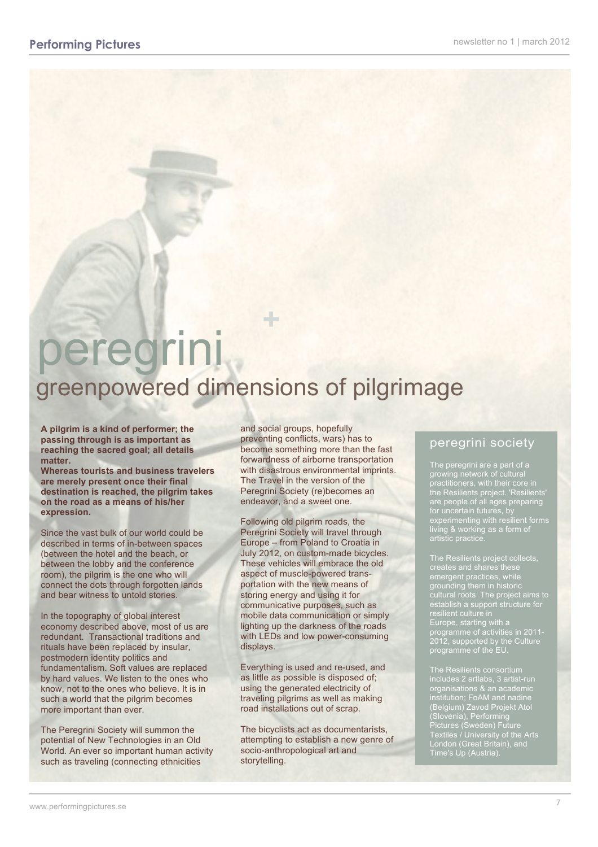### peregrini greenpowered dimensions of pilgrimage **+**

**A pilgrim is a kind of performer; the passing through is as important as reaching the sacred goal; all details matter.** 

**Whereas tourists and business travelers are merely present once their final destination is reached, the pilgrim takes on the road as a means of his/her expression.** 

Since the vast bulk of our world could be described in terms of in-between spaces (between the hotel and the beach, or between the lobby and the conference room), the pilgrim is the one who will connect the dots through forgotten lands and bear witness to untold stories.

In the topography of global interest economy described above, most of us are redundant. Transactional traditions and rituals have been replaced by insular, postmodern identity politics and fundamentalism. Soft values are replaced by hard values. We listen to the ones who know, not to the ones who believe. It is in such a world that the pilgrim becomes more important than ever.

The Peregrini Society will summon the potential of New Technologies in an Old World. An ever so important human activity such as traveling (connecting ethnicities

and social groups, hopefully preventing conflicts, wars) has to become something more than the fast forwardness of airborne transportation with disastrous environmental imprints. The Travel in the version of the Peregrini Society (re)becomes an endeavor, and a sweet one.

Following old pilgrim roads, the Peregrini Society will travel through Europe – from Poland to Croatia in July 2012, on custom-made bicycles. These vehicles will embrace the old aspect of muscle-powered transportation with the new means of storing energy and using it for communicative purposes, such as mobile data communication or simply lighting up the darkness of the roads with LEDs and low power-consuming displays.

Everything is used and re-used, and as little as possible is disposed of; using the generated electricity of traveling pilgrims as well as making road installations out of scrap.

The bicyclists act as documentarists, attempting to establish a new genre of socio-anthropological art and storytelling.

#### peregrini society

The peregrini are a part of a growing network of cultural practitioners, with their core in the Resilients project. 'Resilients' are people of all ages preparing for uncertain futures, by experimenting with resilient forms living & working as a form of

The Resilients project collects, emergent practices, while grounding them in historic establish a support structure for resilient culture in Europe, starting with a programme of activities in 2011- 2012, supported by the Culture programme of the EU.

The Resilients consortium includes 2 artlabs, 3 artist-run organisations & an academic institution; FoAM and nadine (Belgium) Zavod Projekt Atol (Slovenia), Performing Pictures (Sweden) Future Textiles / University of the Arts London (Great Britain), and